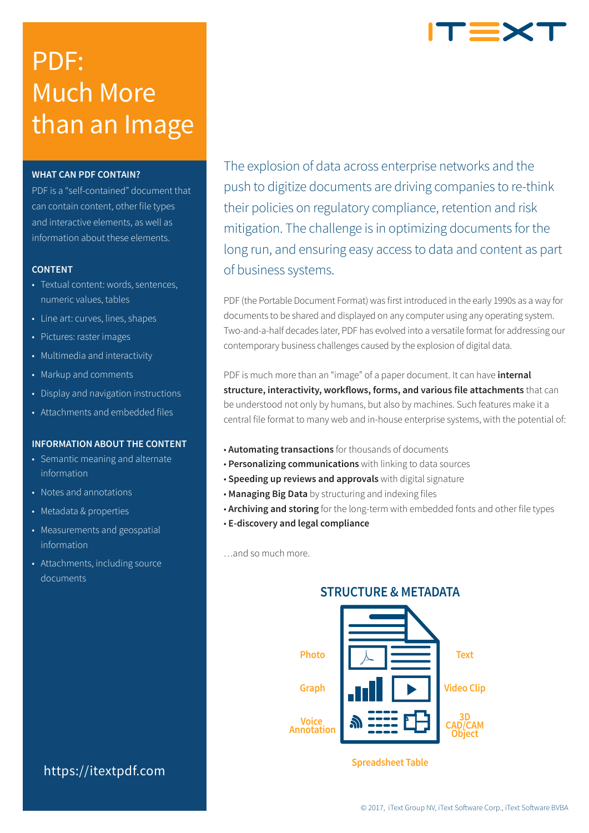# PDF: Much More than an Image

# **WHAT CAN PDF CONTAIN?**

PDF is a "self-contained" document that can contain content, other file types and interactive elements, as well as information about these elements.

## **CONTENT**

- Textual content: words, sentences, numeric values, tables
- Line art: curves, lines, shapes
- Pictures: raster images
- Multimedia and interactivity
- Markup and comments
- Display and navigation instructions
- Attachments and embedded files

# **INFORMATION ABOUT THE CONTENT**

- Semantic meaning and alternate information
- Notes and annotations
- Metadata & properties
- Measurements and geospatial information
- Attachments, including source documents

# https://itextpdf.com

The explosion of data across enterprise networks and the push to digitize documents are driving companies to re-think their policies on regulatory compliance, retention and risk mitigation. The challenge is in optimizing documents for the long run, and ensuring easy access to data and content as part of business systems.

PDF (the Portable Document Format) was first introduced in the early 1990s as a way for documents to be shared and displayed on any computer using any operating system. Two-and-a-half decades later, PDF has evolved into a versatile format for addressing our contemporary business challenges caused by the explosion of digital data.

PDF is much more than an "image" of a paper document. It can have **internal structure, interactivity, workflows, forms, and various file attachments** that can be understood not only by humans, but also by machines. Such features make it a central file format to many web and in-house enterprise systems, with the potential of:

- **Automating transactions** for thousands of documents
- **Personalizing communications** with linking to data sources
- **Speeding up reviews and approvals** with digital signature
- **Managing Big Data** by structuring and indexing files
- **Archiving and storing** for the long-term with embedded fonts and other file types
- **E-discovery and legal compliance**

…and so much more.

# **STRUCTURE & METADATA**



**Spreadsheet Table**